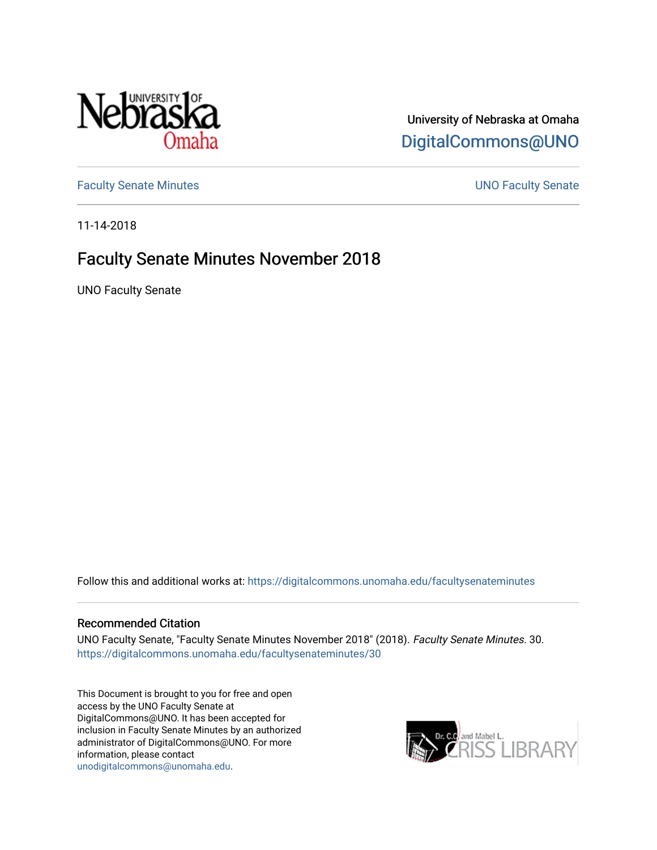

University of Nebraska at Omaha [DigitalCommons@UNO](https://digitalcommons.unomaha.edu/) 

[Faculty Senate Minutes](https://digitalcommons.unomaha.edu/facultysenateminutes) **Example 2018** UNO Faculty Senate

11-14-2018

# Faculty Senate Minutes November 2018

UNO Faculty Senate

Follow this and additional works at: [https://digitalcommons.unomaha.edu/facultysenateminutes](https://digitalcommons.unomaha.edu/facultysenateminutes?utm_source=digitalcommons.unomaha.edu%2Ffacultysenateminutes%2F30&utm_medium=PDF&utm_campaign=PDFCoverPages) 

#### Recommended Citation

UNO Faculty Senate, "Faculty Senate Minutes November 2018" (2018). Faculty Senate Minutes. 30. [https://digitalcommons.unomaha.edu/facultysenateminutes/30](https://digitalcommons.unomaha.edu/facultysenateminutes/30?utm_source=digitalcommons.unomaha.edu%2Ffacultysenateminutes%2F30&utm_medium=PDF&utm_campaign=PDFCoverPages) 

This Document is brought to you for free and open access by the UNO Faculty Senate at DigitalCommons@UNO. It has been accepted for inclusion in Faculty Senate Minutes by an authorized administrator of DigitalCommons@UNO. For more information, please contact [unodigitalcommons@unomaha.edu.](mailto:unodigitalcommons@unomaha.edu)

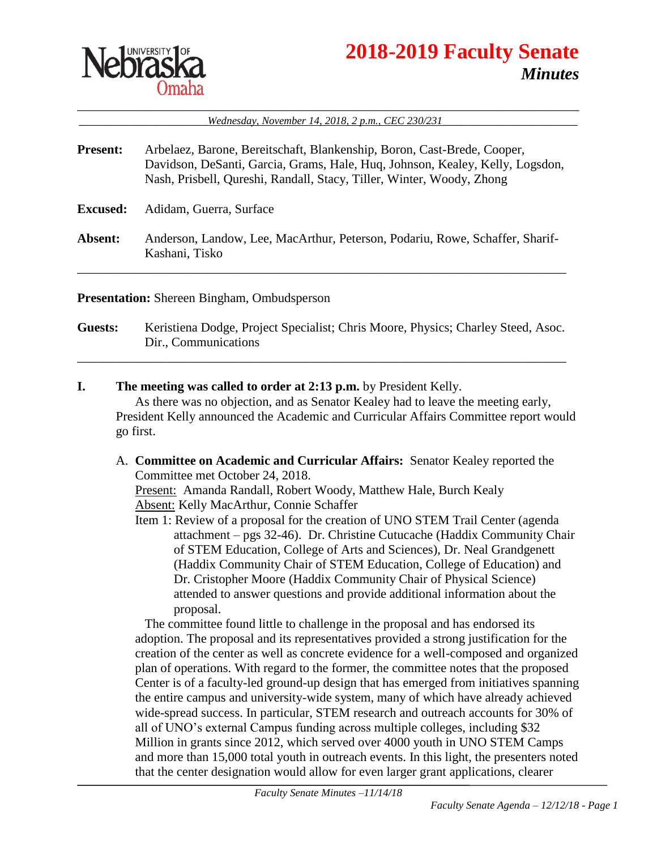

# **2018-2019 Faculty Senate** *Minutes*

\_\_\_\_\_\_\_\_\_\_\_\_\_\_\_\_\_\_\_\_\_\_\_\_\_\_\_\_\_\_\_\_\_\_\_\_\_\_\_\_\_\_\_\_\_\_\_\_\_\_\_\_\_\_\_\_\_\_\_\_\_\_\_\_\_\_\_\_\_\_\_\_\_\_\_\_\_\_ \_\_\_\_\_\_\_\_\_\_\_\_\_\_\_\_\_\_\_\_*Wednesday, November 14, 2018, 2 p.m., CEC 230/231*\_\_\_\_\_\_\_\_\_\_\_\_\_\_\_\_\_\_\_\_\_

**Present:** Arbelaez, Barone, Bereitschaft, Blankenship, Boron, Cast-Brede, Cooper, Davidson, DeSanti, Garcia, Grams, Hale, Huq, Johnson, Kealey, Kelly, Logsdon, Nash, Prisbell, Qureshi, Randall, Stacy, Tiller, Winter, Woody, Zhong

**Excused:** Adidam, Guerra, Surface

**Absent:** Anderson, Landow, Lee, MacArthur, Peterson, Podariu, Rowe, Schaffer, Sharif-Kashani, Tisko

\_\_\_\_\_\_\_\_\_\_\_\_\_\_\_\_\_\_\_\_\_\_\_\_\_\_\_\_\_\_\_\_\_\_\_\_\_\_\_\_\_\_\_\_\_\_\_\_\_\_\_\_\_\_\_\_\_\_\_\_\_\_\_\_\_\_\_\_\_\_\_\_\_\_\_\_

**Presentation:** Shereen Bingham, Ombudsperson

**Guests:** Keristiena Dodge, Project Specialist; Chris Moore, Physics; Charley Steed, Asoc. Dir., Communications

\_\_\_\_\_\_\_\_\_\_\_\_\_\_\_\_\_\_\_\_\_\_\_\_\_\_\_\_\_\_\_\_\_\_\_\_\_\_\_\_\_\_\_\_\_\_\_\_\_\_\_\_\_\_\_\_\_\_\_\_\_\_\_\_\_\_\_\_\_\_\_\_\_\_\_\_

**I. The meeting was called to order at 2:13 p.m.** by President Kelly. As there was no objection, and as Senator Kealey had to leave the meeting early, President Kelly announced the Academic and Curricular Affairs Committee report would go first.

- A. **Committee on Academic and Curricular Affairs:** Senator Kealey reported the Committee met October 24, 2018. Present: Amanda Randall, Robert Woody, Matthew Hale, Burch Kealy Absent: Kelly MacArthur, Connie Schaffer
	- Item 1: Review of a proposal for the creation of UNO STEM Trail Center (agenda attachment – pgs 32-46). Dr. Christine Cutucache (Haddix Community Chair of STEM Education, College of Arts and Sciences), Dr. Neal Grandgenett (Haddix Community Chair of STEM Education, College of Education) and Dr. Cristopher Moore (Haddix Community Chair of Physical Science) attended to answer questions and provide additional information about the proposal.

The committee found little to challenge in the proposal and has endorsed its adoption. The proposal and its representatives provided a strong justification for the creation of the center as well as concrete evidence for a well-composed and organized plan of operations. With regard to the former, the committee notes that the proposed Center is of a faculty-led ground-up design that has emerged from initiatives spanning the entire campus and university-wide system, many of which have already achieved wide-spread success. In particular, STEM research and outreach accounts for 30% of all of UNO's external Campus funding across multiple colleges, including \$32 Million in grants since 2012, which served over 4000 youth in UNO STEM Camps and more than 15,000 total youth in outreach events. In this light, the presenters noted that the center designation would allow for even larger grant applications, clearer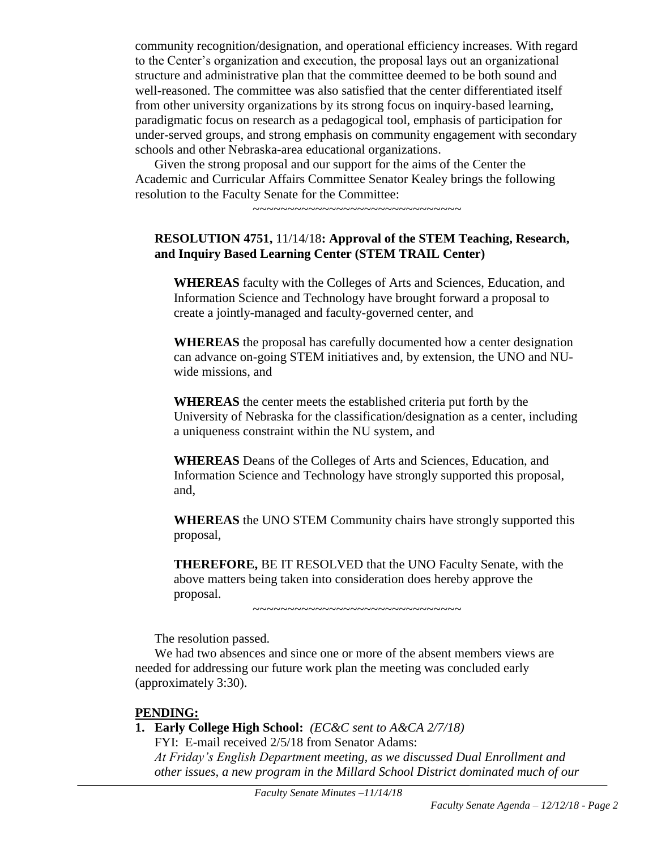community recognition/designation, and operational efficiency increases. With regard to the Center's organization and execution, the proposal lays out an organizational structure and administrative plan that the committee deemed to be both sound and well-reasoned. The committee was also satisfied that the center differentiated itself from other university organizations by its strong focus on inquiry-based learning, paradigmatic focus on research as a pedagogical tool, emphasis of participation for under-served groups, and strong emphasis on community engagement with secondary schools and other Nebraska-area educational organizations.

Given the strong proposal and our support for the aims of the Center the Academic and Curricular Affairs Committee Senator Kealey brings the following resolution to the Faculty Senate for the Committee:

~~~~~~~~~~~~~~~~~~~~~~~~~~~~~~

#### **RESOLUTION 4751,** 11/14/18**: Approval of the STEM Teaching, Research, and Inquiry Based Learning Center (STEM TRAIL Center)**

**WHEREAS** faculty with the Colleges of Arts and Sciences, Education, and Information Science and Technology have brought forward a proposal to create a jointly-managed and faculty-governed center, and

**WHEREAS** the proposal has carefully documented how a center designation can advance on-going STEM initiatives and, by extension, the UNO and NUwide missions, and

**WHEREAS** the center meets the established criteria put forth by the University of Nebraska for the classification/designation as a center, including a uniqueness constraint within the NU system, and

**WHEREAS** Deans of the Colleges of Arts and Sciences, Education, and Information Science and Technology have strongly supported this proposal, and,

**WHEREAS** the UNO STEM Community chairs have strongly supported this proposal,

**THEREFORE,** BE IT RESOLVED that the UNO Faculty Senate, with the above matters being taken into consideration does hereby approve the proposal.

~~~~~~~~~~~~~~~~~~~~~~~~~~~~~~

The resolution passed.

We had two absences and since one or more of the absent members views are needed for addressing our future work plan the meeting was concluded early (approximately 3:30).

# **PENDING:**

**1. Early College High School:** *(EC&C sent to A&CA 2/7/18)*

FYI: E-mail received 2/5/18 from Senator Adams: *At Friday's English Department meeting, as we discussed Dual Enrollment and other issues, a new program in the Millard School District dominated much of our*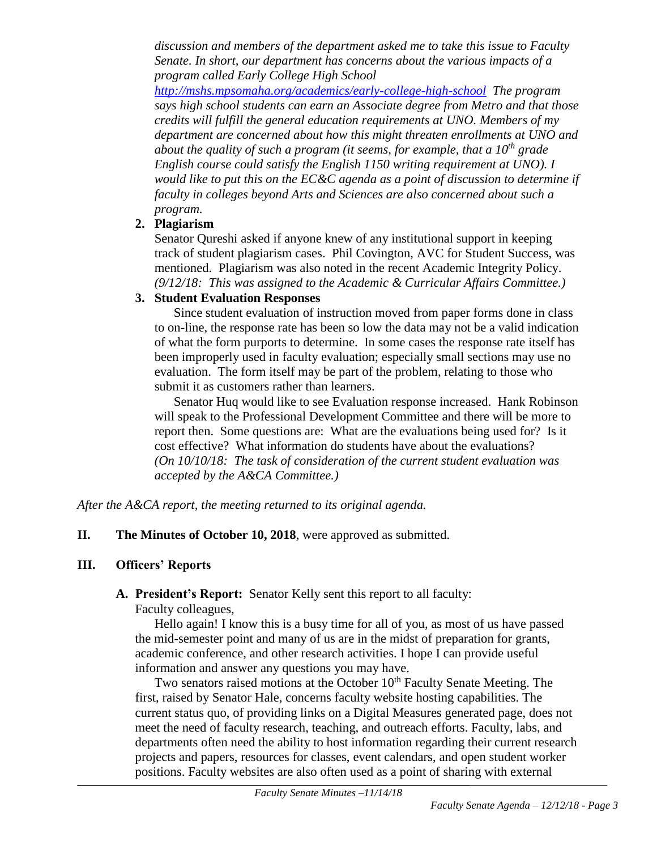*discussion and members of the department asked me to take this issue to Faculty Senate. In short, our department has concerns about the various impacts of a program called Early College High School* 

*<http://mshs.mpsomaha.org/academics/early-college-high-school> The program says high school students can earn an Associate degree from Metro and that those credits will fulfill the general education requirements at UNO. Members of my department are concerned about how this might threaten enrollments at UNO and about the quality of such a program (it seems, for example, that a 10th grade English course could satisfy the English 1150 writing requirement at UNO). I would like to put this on the EC&C agenda as a point of discussion to determine if faculty in colleges beyond Arts and Sciences are also concerned about such a program.*

# **2. Plagiarism**

Senator Qureshi asked if anyone knew of any institutional support in keeping track of student plagiarism cases. Phil Covington, AVC for Student Success, was mentioned. Plagiarism was also noted in the recent Academic Integrity Policy. *(9/12/18: This was assigned to the Academic & Curricular Affairs Committee.)* 

# **3. Student Evaluation Responses**

Since student evaluation of instruction moved from paper forms done in class to on-line, the response rate has been so low the data may not be a valid indication of what the form purports to determine. In some cases the response rate itself has been improperly used in faculty evaluation; especially small sections may use no evaluation. The form itself may be part of the problem, relating to those who submit it as customers rather than learners.

Senator Huq would like to see Evaluation response increased. Hank Robinson will speak to the Professional Development Committee and there will be more to report then. Some questions are: What are the evaluations being used for? Is it cost effective? What information do students have about the evaluations? *(On 10/10/18: The task of consideration of the current student evaluation was accepted by the A&CA Committee.)*

*After the A&CA report, the meeting returned to its original agenda.*

**II. The Minutes of October 10, 2018**, were approved as submitted.

# **III. Officers' Reports**

# **A. President's Report:** Senator Kelly sent this report to all faculty:

Faculty colleagues,

Hello again! I know this is a busy time for all of you, as most of us have passed the mid-semester point and many of us are in the midst of preparation for grants, academic conference, and other research activities. I hope I can provide useful information and answer any questions you may have.

Two senators raised motions at the October 10<sup>th</sup> Faculty Senate Meeting. The first, raised by Senator Hale, concerns faculty website hosting capabilities. The current status quo, of providing links on a Digital Measures generated page, does not meet the need of faculty research, teaching, and outreach efforts. Faculty, labs, and departments often need the ability to host information regarding their current research projects and papers, resources for classes, event calendars, and open student worker positions. Faculty websites are also often used as a point of sharing with external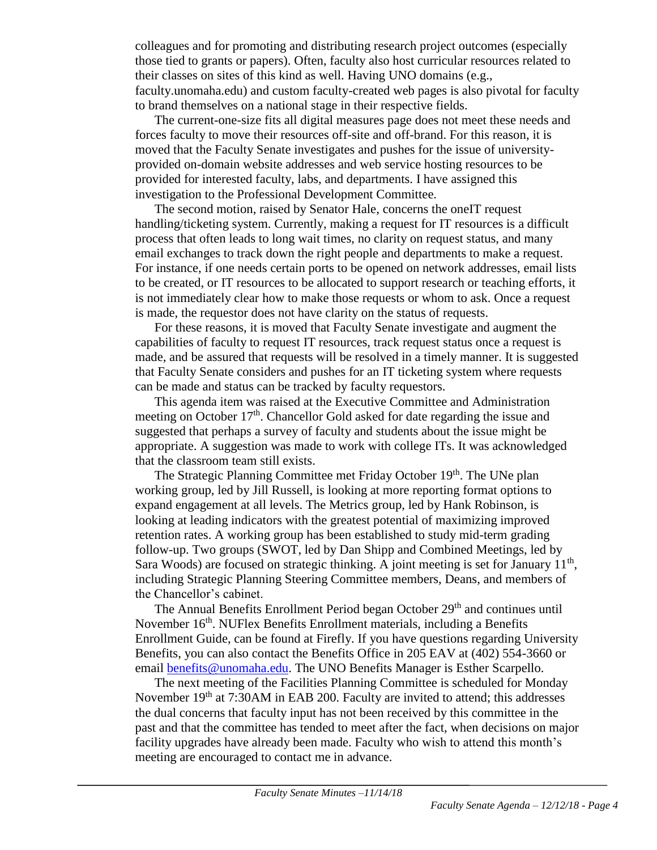colleagues and for promoting and distributing research project outcomes (especially those tied to grants or papers). Often, faculty also host curricular resources related to their classes on sites of this kind as well. Having UNO domains (e.g., faculty.unomaha.edu) and custom faculty-created web pages is also pivotal for faculty to brand themselves on a national stage in their respective fields.

The current-one-size fits all digital measures page does not meet these needs and forces faculty to move their resources off-site and off-brand. For this reason, it is moved that the Faculty Senate investigates and pushes for the issue of universityprovided on-domain website addresses and web service hosting resources to be provided for interested faculty, labs, and departments. I have assigned this investigation to the Professional Development Committee.

The second motion, raised by Senator Hale, concerns the oneIT request handling/ticketing system. Currently, making a request for IT resources is a difficult process that often leads to long wait times, no clarity on request status, and many email exchanges to track down the right people and departments to make a request. For instance, if one needs certain ports to be opened on network addresses, email lists to be created, or IT resources to be allocated to support research or teaching efforts, it is not immediately clear how to make those requests or whom to ask. Once a request is made, the requestor does not have clarity on the status of requests.

For these reasons, it is moved that Faculty Senate investigate and augment the capabilities of faculty to request IT resources, track request status once a request is made, and be assured that requests will be resolved in a timely manner. It is suggested that Faculty Senate considers and pushes for an IT ticketing system where requests can be made and status can be tracked by faculty requestors.

This agenda item was raised at the Executive Committee and Administration meeting on October  $17<sup>th</sup>$ . Chancellor Gold asked for date regarding the issue and suggested that perhaps a survey of faculty and students about the issue might be appropriate. A suggestion was made to work with college ITs. It was acknowledged that the classroom team still exists.

The Strategic Planning Committee met Friday October 19<sup>th</sup>. The UNe plan working group, led by Jill Russell, is looking at more reporting format options to expand engagement at all levels. The Metrics group, led by Hank Robinson, is looking at leading indicators with the greatest potential of maximizing improved retention rates. A working group has been established to study mid-term grading follow-up. Two groups (SWOT, led by Dan Shipp and Combined Meetings, led by Sara Woods) are focused on strategic thinking. A joint meeting is set for January  $11<sup>th</sup>$ , including Strategic Planning Steering Committee members, Deans, and members of the Chancellor's cabinet.

The Annual Benefits Enrollment Period began October 29<sup>th</sup> and continues until November 16<sup>th</sup>. NUFlex Benefits Enrollment materials, including a Benefits Enrollment Guide, can be found at Firefly. If you have questions regarding University Benefits, you can also contact the Benefits Office in 205 EAV at (402) 554-3660 or email [benefits@unomaha.edu.](mailto:benefits@unomaha.edu) The UNO Benefits Manager is Esther Scarpello.

The next meeting of the Facilities Planning Committee is scheduled for Monday November 19<sup>th</sup> at 7:30AM in EAB 200. Faculty are invited to attend; this addresses the dual concerns that faculty input has not been received by this committee in the past and that the committee has tended to meet after the fact, when decisions on major facility upgrades have already been made. Faculty who wish to attend this month's meeting are encouraged to contact me in advance.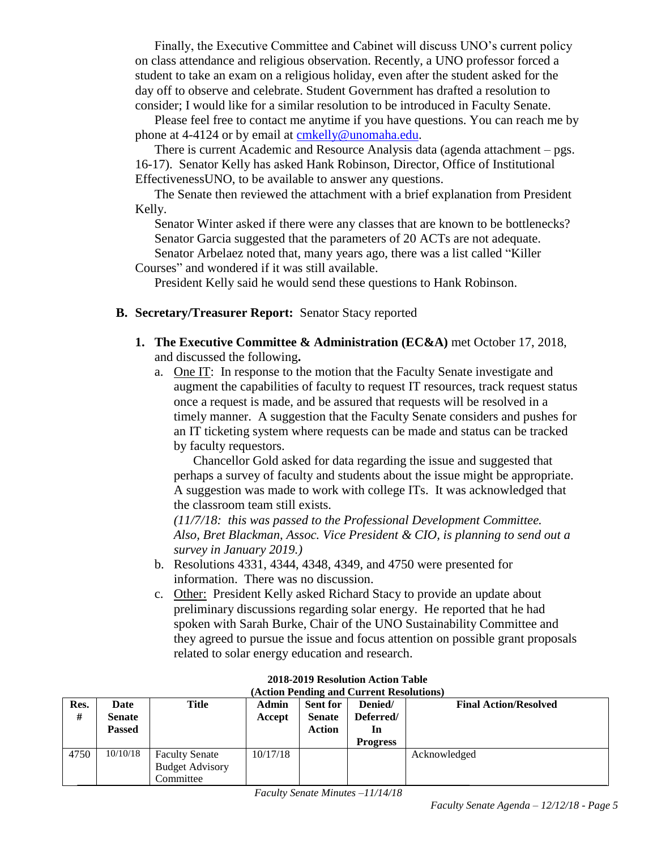Finally, the Executive Committee and Cabinet will discuss UNO's current policy on class attendance and religious observation. Recently, a UNO professor forced a student to take an exam on a religious holiday, even after the student asked for the day off to observe and celebrate. Student Government has drafted a resolution to consider; I would like for a similar resolution to be introduced in Faculty Senate.

Please feel free to contact me anytime if you have questions. You can reach me by phone at 4-4124 or by email at [cmkelly@unomaha.edu.](mailto:cmkelly@unomaha.edu)

There is current Academic and Resource Analysis data (agenda attachment – pgs. 16-17). Senator Kelly has asked Hank Robinson, Director, Office of Institutional EffectivenessUNO, to be available to answer any questions.

The Senate then reviewed the attachment with a brief explanation from President Kelly.

Senator Winter asked if there were any classes that are known to be bottlenecks? Senator Garcia suggested that the parameters of 20 ACTs are not adequate. Senator Arbelaez noted that, many years ago, there was a list called "Killer

Courses" and wondered if it was still available.

President Kelly said he would send these questions to Hank Robinson.

#### **B. Secretary/Treasurer Report:** Senator Stacy reported

- **1. The Executive Committee & Administration (EC&A)** met October 17, 2018, and discussed the following**.** 
	- a. One IT: In response to the motion that the Faculty Senate investigate and augment the capabilities of faculty to request IT resources, track request status once a request is made, and be assured that requests will be resolved in a timely manner. A suggestion that the Faculty Senate considers and pushes for an IT ticketing system where requests can be made and status can be tracked by faculty requestors.

Chancellor Gold asked for data regarding the issue and suggested that perhaps a survey of faculty and students about the issue might be appropriate. A suggestion was made to work with college ITs. It was acknowledged that the classroom team still exists.

*(11/7/18: this was passed to the Professional Development Committee. Also, Bret Blackman, Assoc. Vice President & CIO, is planning to send out a survey in January 2019.)*

- b. Resolutions 4331, 4344, 4348, 4349, and 4750 were presented for information. There was no discussion.
- c. Other: President Kelly asked Richard Stacy to provide an update about preliminary discussions regarding solar energy. He reported that he had spoken with Sarah Burke, Chair of the UNO Sustainability Committee and they agreed to pursue the issue and focus attention on possible grant proposals related to solar energy education and research.

| Res.<br># | Date<br><b>Senate</b><br><b>Passed</b> | Title                                                        | <b>Admin</b><br>Accept | <b>Sent for</b><br><b>Senate</b><br><b>Action</b> | Denied/<br>Deferred/<br>In<br><b>Progress</b> | <b>Final Action/Resolved</b> |
|-----------|----------------------------------------|--------------------------------------------------------------|------------------------|---------------------------------------------------|-----------------------------------------------|------------------------------|
| 4750      | 10/10/18                               | <b>Faculty Senate</b><br><b>Budget Advisory</b><br>Committee | 10/17/18               |                                                   |                                               | Acknowledged                 |

#### **2018-2019 Resolution Action Table (Action Pending and Current Resolutions)**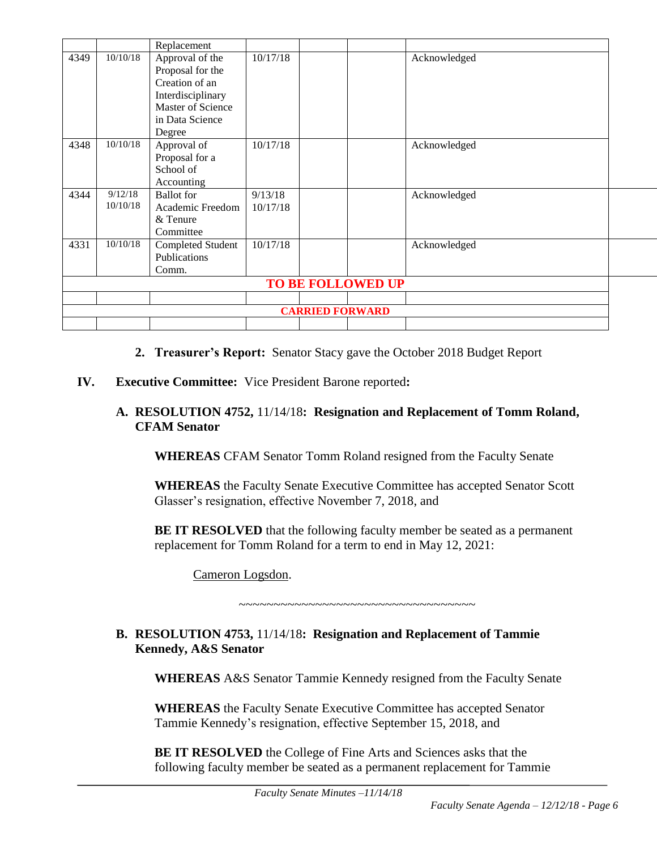|                                     |          | Replacement              |          |  |              |              |  |  |  |  |
|-------------------------------------|----------|--------------------------|----------|--|--------------|--------------|--|--|--|--|
| 10/10/18<br>Approval of the<br>4349 |          | 10/17/18                 |          |  | Acknowledged |              |  |  |  |  |
|                                     |          | Proposal for the         |          |  |              |              |  |  |  |  |
|                                     |          | Creation of an           |          |  |              |              |  |  |  |  |
|                                     |          | Interdisciplinary        |          |  |              |              |  |  |  |  |
|                                     |          | Master of Science        |          |  |              |              |  |  |  |  |
|                                     |          | in Data Science          |          |  |              |              |  |  |  |  |
|                                     |          | Degree                   |          |  |              |              |  |  |  |  |
| 4348                                | 10/10/18 | Approval of              | 10/17/18 |  |              | Acknowledged |  |  |  |  |
|                                     |          | Proposal for a           |          |  |              |              |  |  |  |  |
|                                     |          | School of                |          |  |              |              |  |  |  |  |
|                                     |          | Accounting               |          |  |              |              |  |  |  |  |
| 4344                                | 9/12/18  | <b>Ballot</b> for        | 9/13/18  |  |              | Acknowledged |  |  |  |  |
|                                     | 10/10/18 | Academic Freedom         | 10/17/18 |  |              |              |  |  |  |  |
|                                     |          | & Tenure                 |          |  |              |              |  |  |  |  |
|                                     |          | Committee                |          |  |              |              |  |  |  |  |
| 4331                                | 10/10/18 | <b>Completed Student</b> | 10/17/18 |  |              | Acknowledged |  |  |  |  |
|                                     |          | Publications             |          |  |              |              |  |  |  |  |
| Comm.                               |          |                          |          |  |              |              |  |  |  |  |
| <b>TO BE FOLLOWED UP</b>            |          |                          |          |  |              |              |  |  |  |  |
|                                     |          |                          |          |  |              |              |  |  |  |  |
| <b>CARRIED FORWARD</b>              |          |                          |          |  |              |              |  |  |  |  |
|                                     |          |                          |          |  |              |              |  |  |  |  |

- **2. Treasurer's Report:** Senator Stacy gave the October 2018 Budget Report
- **IV. Executive Committee:** Vice President Barone reported**:**

#### **A. RESOLUTION 4752,** 11/14/18**: Resignation and Replacement of Tomm Roland, CFAM Senator**

**WHEREAS** CFAM Senator Tomm Roland resigned from the Faculty Senate

**WHEREAS** the Faculty Senate Executive Committee has accepted Senator Scott Glasser's resignation, effective November 7, 2018, and

**BE IT RESOLVED** that the following faculty member be seated as a permanent replacement for Tomm Roland for a term to end in May 12, 2021:

Cameron Logsdon.

~~~~~~~~~~~~~~~~~~~~~~~~~~~~~~~~~~

#### **B. RESOLUTION 4753,** 11/14/18**: Resignation and Replacement of Tammie Kennedy, A&S Senator**

**WHEREAS** A&S Senator Tammie Kennedy resigned from the Faculty Senate

**WHEREAS** the Faculty Senate Executive Committee has accepted Senator Tammie Kennedy's resignation, effective September 15, 2018, and

**BE IT RESOLVED** the College of Fine Arts and Sciences asks that the following faculty member be seated as a permanent replacement for Tammie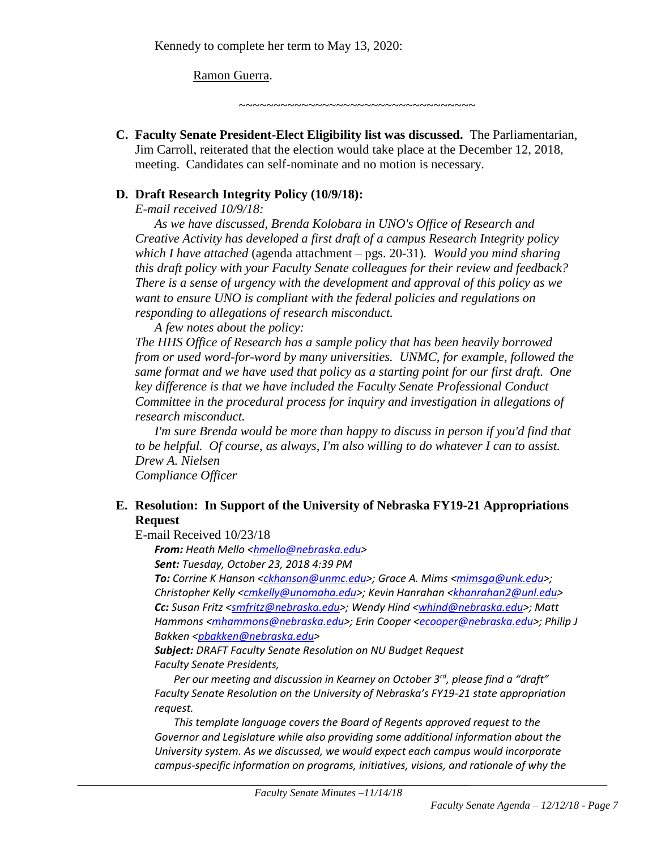#### Ramon Guerra.

~~~~~~~~~~~~~~~~~~~~~~~~~~~~~~~~~

**C. Faculty Senate President-Elect Eligibility list was discussed.** The Parliamentarian, Jim Carroll, reiterated that the election would take place at the December 12, 2018, meeting. Candidates can self-nominate and no motion is necessary.

#### **D. Draft Research Integrity Policy (10/9/18):**

*E-mail received 10/9/18:*

*As we have discussed, Brenda Kolobara in UNO's Office of Research and Creative Activity has developed a first draft of a campus Research Integrity policy which I have attached* (agenda attachment – pgs. 20-31)*. Would you mind sharing this draft policy with your Faculty Senate colleagues for their review and feedback? There is a sense of urgency with the development and approval of this policy as we want to ensure UNO is compliant with the federal policies and regulations on responding to allegations of research misconduct.*

*A few notes about the policy:*

*The HHS Office of Research has a sample policy that has been heavily borrowed from or used word-for-word by many universities. UNMC, for example, followed the same format and we have used that policy as a starting point for our first draft. One key difference is that we have included the Faculty Senate Professional Conduct Committee in the procedural process for inquiry and investigation in allegations of research misconduct.*

*I'm sure Brenda would be more than happy to discuss in person if you'd find that to be helpful. Of course, as always, I'm also willing to do whatever I can to assist. Drew A. Nielsen Compliance Officer*

#### **E. Resolution: In Support of the University of Nebraska FY19-21 Appropriations Request**

E-mail Received 10/23/18

*From: Heath Mello [<hmello@nebraska.edu>](mailto:hmello@nebraska.edu)* 

*Sent: Tuesday, October 23, 2018 4:39 PM*

*To: Corrine K Hanson [<ckhanson@unmc.edu>](mailto:ckhanson@unmc.edu); Grace A. Mims [<mimsga@unk.edu>](mailto:mimsga@unk.edu); Christopher Kelly [<cmkelly@unomaha.edu>](mailto:cmkelly@unomaha.edu); Kevin Hanrahan [<khanrahan2@unl.edu>](mailto:khanrahan2@unl.edu) Cc: Susan Fritz [<smfritz@nebraska.edu>](mailto:smfritz@nebraska.edu); Wendy Hind [<whind@nebraska.edu>](mailto:whind@nebraska.edu); Matt Hammons [<mhammons@nebraska.edu>](mailto:mhammons@nebraska.edu); Erin Cooper [<ecooper@nebraska.edu>](mailto:ecooper@nebraska.edu); Philip J Bakken [<pbakken@nebraska.edu>](mailto:pbakken@nebraska.edu)*

*Subject: DRAFT Faculty Senate Resolution on NU Budget Request Faculty Senate Presidents,*

*Per our meeting and discussion in Kearney on October 3rd, please find a "draft" Faculty Senate Resolution on the University of Nebraska's FY19-21 state appropriation request.*

*This template language covers the Board of Regents approved request to the Governor and Legislature while also providing some additional information about the University system. As we discussed, we would expect each campus would incorporate campus-specific information on programs, initiatives, visions, and rationale of why the*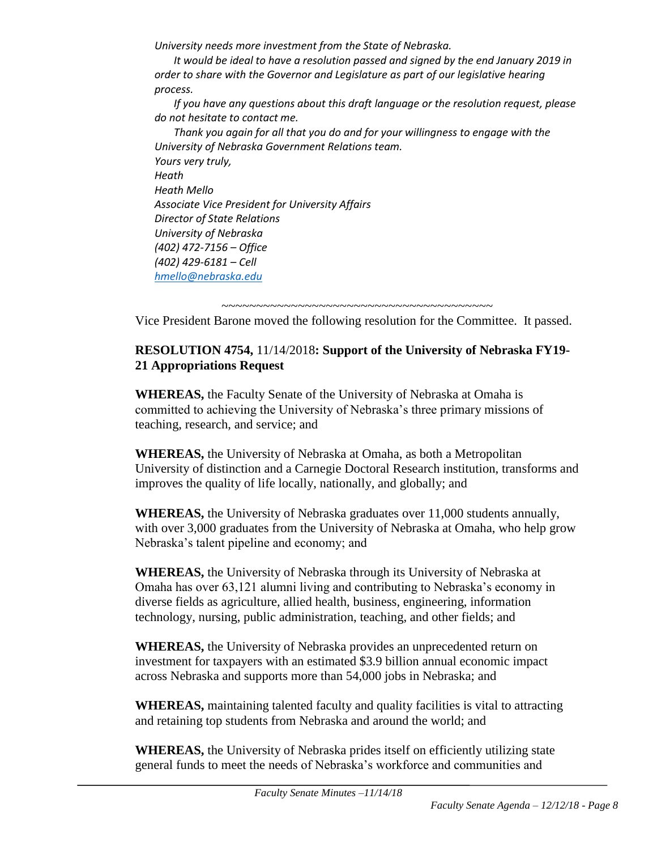*University needs more investment from the State of Nebraska.*

*It would be ideal to have a resolution passed and signed by the end January 2019 in order to share with the Governor and Legislature as part of our legislative hearing process.*

*If you have any questions about this draft language or the resolution request, please do not hesitate to contact me.*

*Thank you again for all that you do and for your willingness to engage with the University of Nebraska Government Relations team. Yours very truly, Heath Heath Mello Associate Vice President for University Affairs Director of State Relations University of Nebraska (402) 472-7156 – Office (402) 429-6181 – Cell [hmello@nebraska.edu](mailto:hmello@nebraska.edu)*

~~~~~~~~~~~~~~~~~~~~~~~~~~~~~~~~~~~~~~~ Vice President Barone moved the following resolution for the Committee. It passed.

# **RESOLUTION 4754,** 11/14/2018**: Support of the University of Nebraska FY19- 21 Appropriations Request**

**WHEREAS,** the Faculty Senate of the University of Nebraska at Omaha is committed to achieving the University of Nebraska's three primary missions of teaching, research, and service; and

**WHEREAS,** the University of Nebraska at Omaha, as both a Metropolitan University of distinction and a Carnegie Doctoral Research institution, transforms and improves the quality of life locally, nationally, and globally; and

**WHEREAS,** the University of Nebraska graduates over 11,000 students annually, with over 3,000 graduates from the University of Nebraska at Omaha, who help grow Nebraska's talent pipeline and economy; and

**WHEREAS,** the University of Nebraska through its University of Nebraska at Omaha has over 63,121 alumni living and contributing to Nebraska's economy in diverse fields as agriculture, allied health, business, engineering, information technology, nursing, public administration, teaching, and other fields; and

**WHEREAS,** the University of Nebraska provides an unprecedented return on investment for taxpayers with an estimated \$3.9 billion annual economic impact across Nebraska and supports more than 54,000 jobs in Nebraska; and

**WHEREAS,** maintaining talented faculty and quality facilities is vital to attracting and retaining top students from Nebraska and around the world; and

**WHEREAS,** the University of Nebraska prides itself on efficiently utilizing state general funds to meet the needs of Nebraska's workforce and communities and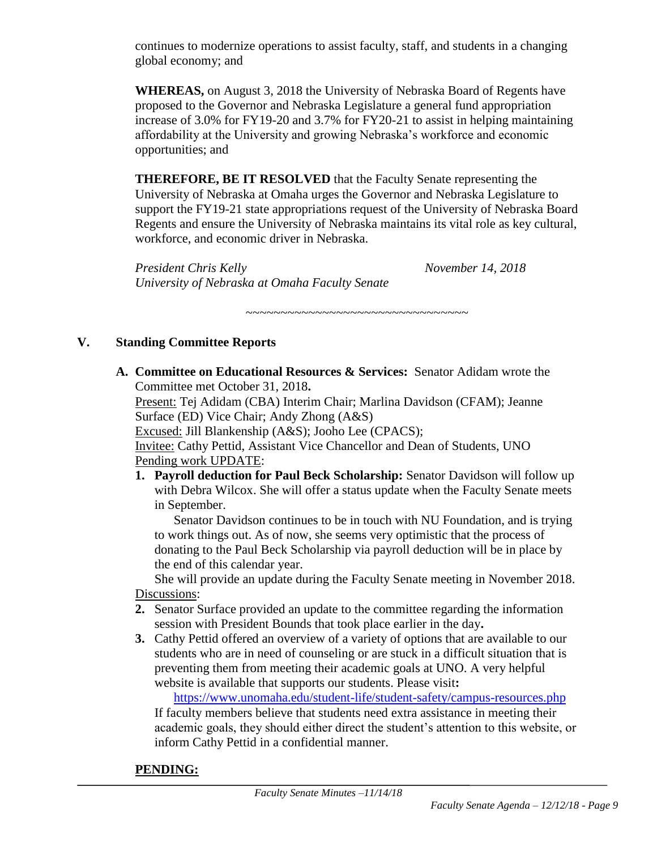continues to modernize operations to assist faculty, staff, and students in a changing global economy; and

**WHEREAS,** on August 3, 2018 the University of Nebraska Board of Regents have proposed to the Governor and Nebraska Legislature a general fund appropriation increase of 3.0% for FY19-20 and 3.7% for FY20-21 to assist in helping maintaining affordability at the University and growing Nebraska's workforce and economic opportunities; and

**THEREFORE, BE IT RESOLVED** that the Faculty Senate representing the University of Nebraska at Omaha urges the Governor and Nebraska Legislature to support the FY19-21 state appropriations request of the University of Nebraska Board Regents and ensure the University of Nebraska maintains its vital role as key cultural, workforce, and economic driver in Nebraska.

~~~~~~~~~~~~~~~~~~~~~~~~~~~~~~~~

*President Chris Kelly November 14, 2018 University of Nebraska at Omaha Faculty Senate*

#### **V. Standing Committee Reports**

**A. Committee on Educational Resources & Services:** Senator Adidam wrote the Committee met October 31, 2018**.**

Present: Tej Adidam (CBA) Interim Chair; Marlina Davidson (CFAM); Jeanne Surface (ED) Vice Chair; Andy Zhong (A&S)

Excused: Jill Blankenship (A&S); Jooho Lee (CPACS);

Invitee: Cathy Pettid, Assistant Vice Chancellor and Dean of Students, UNO Pending work UPDATE:

**1. Payroll deduction for Paul Beck Scholarship:** Senator Davidson will follow up with Debra Wilcox. She will offer a status update when the Faculty Senate meets in September.

Senator Davidson continues to be in touch with NU Foundation, and is trying to work things out. As of now, she seems very optimistic that the process of donating to the Paul Beck Scholarship via payroll deduction will be in place by the end of this calendar year.

She will provide an update during the Faculty Senate meeting in November 2018. Discussions:

- **2.** Senator Surface provided an update to the committee regarding the information session with President Bounds that took place earlier in the day**.**
- **3.** Cathy Pettid offered an overview of a variety of options that are available to our students who are in need of counseling or are stuck in a difficult situation that is preventing them from meeting their academic goals at UNO. A very helpful website is available that supports our students. Please visit**:**

<https://www.unomaha.edu/student-life/student-safety/campus-resources.php>

If faculty members believe that students need extra assistance in meeting their academic goals, they should either direct the student's attention to this website, or inform Cathy Pettid in a confidential manner.

# **PENDING:**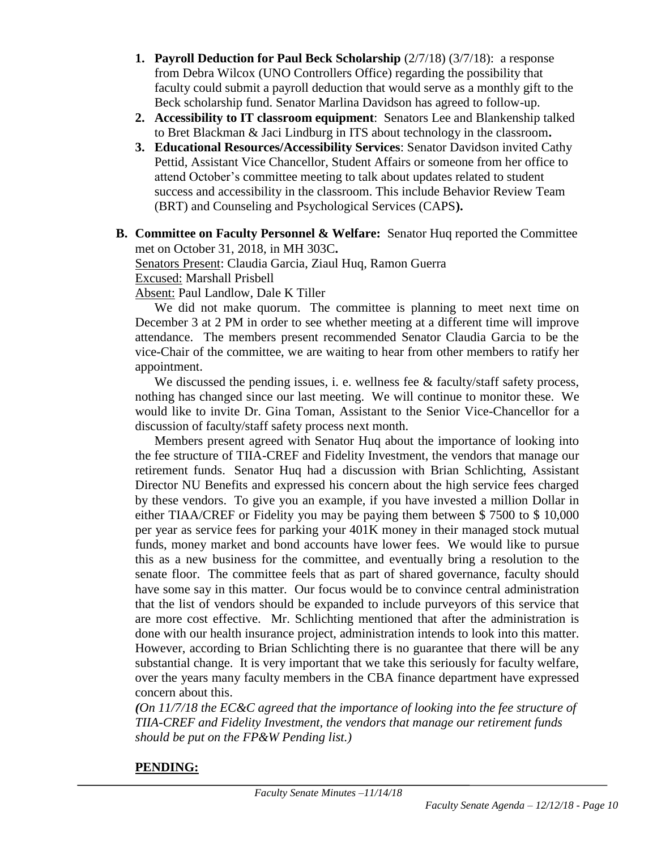- **1. Payroll Deduction for Paul Beck Scholarship**  $(2/7/18)$   $(3/7/18)$ : a response from Debra Wilcox (UNO Controllers Office) regarding the possibility that faculty could submit a payroll deduction that would serve as a monthly gift to the Beck scholarship fund. Senator Marlina Davidson has agreed to follow-up.
- **2. Accessibility to IT classroom equipment**: Senators Lee and Blankenship talked to Bret Blackman & Jaci Lindburg in ITS about technology in the classroom**.**
- **3. Educational Resources/Accessibility Services**: Senator Davidson invited Cathy Pettid, Assistant Vice Chancellor, Student Affairs or someone from her office to attend October's committee meeting to talk about updates related to student success and accessibility in the classroom. This include Behavior Review Team (BRT) and Counseling and Psychological Services (CAPS**).**
- **B. Committee on Faculty Personnel & Welfare:** Senator Huq reported the Committee met on October 31, 2018, in MH 303C**.**

Senators Present: Claudia Garcia, Ziaul Huq, Ramon Guerra Excused: Marshall Prisbell

Absent: Paul Landlow, Dale K Tiller

We did not make quorum. The committee is planning to meet next time on December 3 at 2 PM in order to see whether meeting at a different time will improve attendance. The members present recommended Senator Claudia Garcia to be the vice-Chair of the committee, we are waiting to hear from other members to ratify her appointment.

We discussed the pending issues, i. e. wellness fee  $\&$  faculty/staff safety process, nothing has changed since our last meeting. We will continue to monitor these. We would like to invite Dr. Gina Toman, Assistant to the Senior Vice-Chancellor for a discussion of faculty/staff safety process next month.

Members present agreed with Senator Huq about the importance of looking into the fee structure of TIIA-CREF and Fidelity Investment, the vendors that manage our retirement funds. Senator Huq had a discussion with Brian Schlichting, Assistant Director NU Benefits and expressed his concern about the high service fees charged by these vendors. To give you an example, if you have invested a million Dollar in either TIAA/CREF or Fidelity you may be paying them between \$ 7500 to \$ 10,000 per year as service fees for parking your 401K money in their managed stock mutual funds, money market and bond accounts have lower fees. We would like to pursue this as a new business for the committee, and eventually bring a resolution to the senate floor. The committee feels that as part of shared governance, faculty should have some say in this matter. Our focus would be to convince central administration that the list of vendors should be expanded to include purveyors of this service that are more cost effective. Mr. Schlichting mentioned that after the administration is done with our health insurance project, administration intends to look into this matter. However, according to Brian Schlichting there is no guarantee that there will be any substantial change. It is very important that we take this seriously for faculty welfare, over the years many faculty members in the CBA finance department have expressed concern about this.

*(On 11/7/18 the EC&C agreed that the importance of looking into the fee structure of TIIA-CREF and Fidelity Investment, the vendors that manage our retirement funds should be put on the FP&W Pending list.)*

# **PENDING:**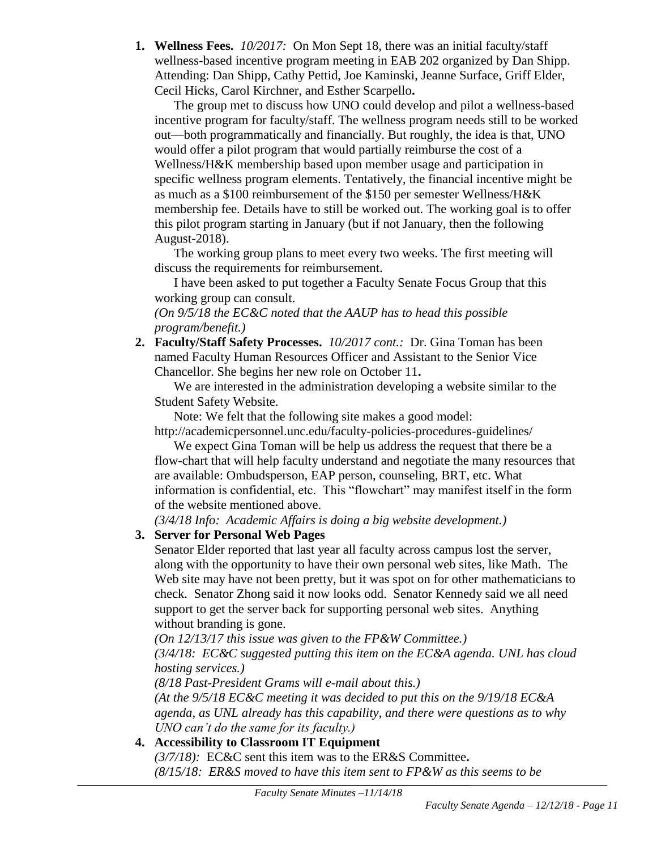**1. Wellness Fees.** *10/2017:*On Mon Sept 18, there was an initial faculty/staff wellness-based incentive program meeting in EAB 202 organized by Dan Shipp. Attending: Dan Shipp, Cathy Pettid, Joe Kaminski, Jeanne Surface, Griff Elder, Cecil Hicks, Carol Kirchner, and Esther Scarpello**.**

The group met to discuss how UNO could develop and pilot a wellness-based incentive program for faculty/staff. The wellness program needs still to be worked out—both programmatically and financially. But roughly, the idea is that, UNO would offer a pilot program that would partially reimburse the cost of a Wellness/H&K membership based upon member usage and participation in specific wellness program elements. Tentatively, the financial incentive might be as much as a \$100 reimbursement of the \$150 per semester Wellness/H&K membership fee. Details have to still be worked out. The working goal is to offer this pilot program starting in January (but if not January, then the following August-2018).

The working group plans to meet every two weeks. The first meeting will discuss the requirements for reimbursement.

I have been asked to put together a Faculty Senate Focus Group that this working group can consult.

#### *(On 9/5/18 the EC&C noted that the AAUP has to head this possible program/benefit.)*

**2. Faculty/Staff Safety Processes.** *10/2017 cont.:* Dr. Gina Toman has been named Faculty Human Resources Officer and Assistant to the Senior Vice Chancellor. She begins her new role on October 11**.**

We are interested in the administration developing a website similar to the Student Safety Website.

Note: We felt that the following site makes a good model:

http://academicpersonnel.unc.edu/faculty-policies-procedures-guidelines/

We expect Gina Toman will be help us address the request that there be a flow-chart that will help faculty understand and negotiate the many resources that are available: Ombudsperson, EAP person, counseling, BRT, etc. What information is confidential, etc. This "flowchart" may manifest itself in the form of the website mentioned above.

*(3/4/18 Info: Academic Affairs is doing a big website development.)*

# **3. Server for Personal Web Pages**

Senator Elder reported that last year all faculty across campus lost the server, along with the opportunity to have their own personal web sites, like Math. The Web site may have not been pretty, but it was spot on for other mathematicians to check. Senator Zhong said it now looks odd. Senator Kennedy said we all need support to get the server back for supporting personal web sites. Anything without branding is gone.

*(On 12/13/17 this issue was given to the FP&W Committee.)*

*(3/4/18: EC&C suggested putting this item on the EC&A agenda. UNL has cloud hosting services.)*

*(8/18 Past-President Grams will e-mail about this.)*

*(At the 9/5/18 EC&C meeting it was decided to put this on the 9/19/18 EC&A agenda, as UNL already has this capability, and there were questions as to why UNO can't do the same for its faculty.)*

# **4. Accessibility to Classroom IT Equipment**

*(3/7/18):* EC&C sent this item was to the ER&S Committee**.**  *(8/15/18: ER&S moved to have this item sent to FP&W as this seems to be*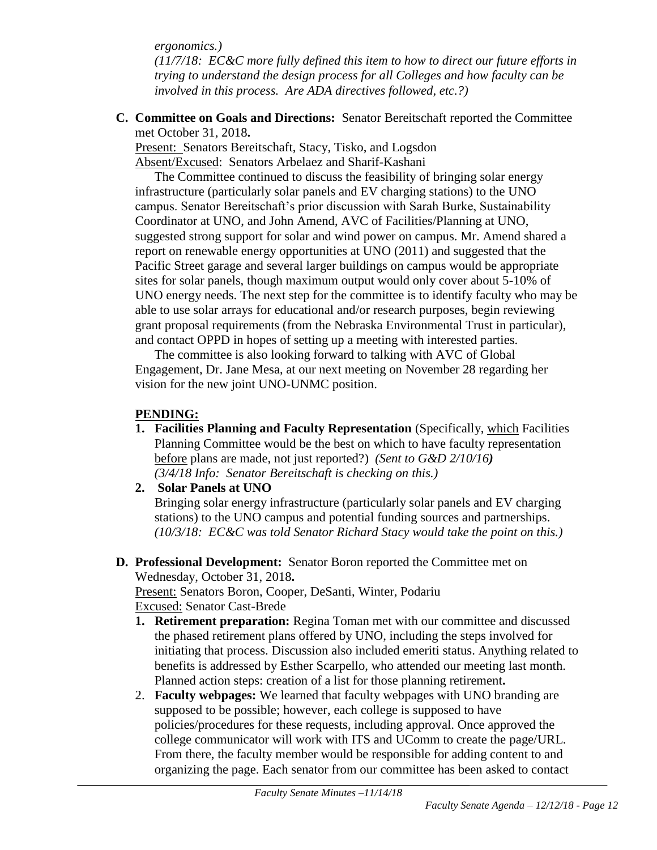*ergonomics.)* 

*(11/7/18: EC&C more fully defined this item to how to direct our future efforts in trying to understand the design process for all Colleges and how faculty can be involved in this process. Are ADA directives followed, etc.?)* 

**C. Committee on Goals and Directions:** Senator Bereitschaft reported the Committee met October 31, 2018**.**

Present: Senators Bereitschaft, Stacy, Tisko, and Logsdon Absent/Excused: Senators Arbelaez and Sharif-Kashani

The Committee continued to discuss the feasibility of bringing solar energy infrastructure (particularly solar panels and EV charging stations) to the UNO campus. Senator Bereitschaft's prior discussion with Sarah Burke, Sustainability Coordinator at UNO, and John Amend, AVC of Facilities/Planning at UNO, suggested strong support for solar and wind power on campus. Mr. Amend shared a report on renewable energy opportunities at UNO (2011) and suggested that the Pacific Street garage and several larger buildings on campus would be appropriate sites for solar panels, though maximum output would only cover about 5-10% of UNO energy needs. The next step for the committee is to identify faculty who may be able to use solar arrays for educational and/or research purposes, begin reviewing grant proposal requirements (from the Nebraska Environmental Trust in particular), and contact OPPD in hopes of setting up a meeting with interested parties.

The committee is also looking forward to talking with AVC of Global Engagement, Dr. Jane Mesa, at our next meeting on November 28 regarding her vision for the new joint UNO-UNMC position.

#### **PENDING:**

- **1. Facilities Planning and Faculty Representation** (Specifically, which Facilities Planning Committee would be the best on which to have faculty representation before plans are made, not just reported?) *(Sent to G&D 2/10/16) (3/4/18 Info: Senator Bereitschaft is checking on this.)*
- **2. Solar Panels at UNO**

Bringing solar energy infrastructure (particularly solar panels and EV charging stations) to the UNO campus and potential funding sources and partnerships. *(10/3/18: EC&C was told Senator Richard Stacy would take the point on this.)*

**D. Professional Development:** Senator Boron reported the Committee met on Wednesday, October 31, 2018**.**

Present: Senators Boron, Cooper, DeSanti, Winter, Podariu Excused: Senator Cast-Brede

- **1. Retirement preparation:** Regina Toman met with our committee and discussed the phased retirement plans offered by UNO, including the steps involved for initiating that process. Discussion also included emeriti status. Anything related to benefits is addressed by Esther Scarpello, who attended our meeting last month. Planned action steps: creation of a list for those planning retirement**.**
- 2. **Faculty webpages:** We learned that faculty webpages with UNO branding are supposed to be possible; however, each college is supposed to have policies/procedures for these requests, including approval. Once approved the college communicator will work with ITS and UComm to create the page/URL. From there, the faculty member would be responsible for adding content to and organizing the page. Each senator from our committee has been asked to contact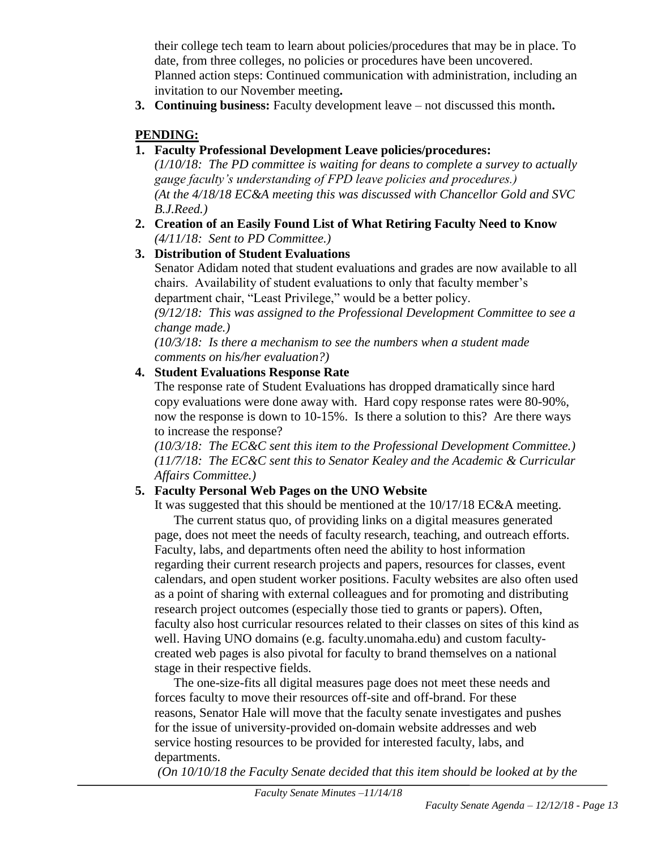their college tech team to learn about policies/procedures that may be in place. To date, from three colleges, no policies or procedures have been uncovered. Planned action steps: Continued communication with administration, including an invitation to our November meeting**.**

**3. Continuing business:** Faculty development leave – not discussed this month**.**

# **PENDING:**

# **1. Faculty Professional Development Leave policies/procedures:**

*(1/10/18: The PD committee is waiting for deans to complete a survey to actually gauge faculty's understanding of FPD leave policies and procedures.) (At the 4/18/18 EC&A meeting this was discussed with Chancellor Gold and SVC B.J.Reed.)*

**2. Creation of an Easily Found List of What Retiring Faculty Need to Know** *(4/11/18: Sent to PD Committee.)*

# **3. Distribution of Student Evaluations**

Senator Adidam noted that student evaluations and grades are now available to all chairs. Availability of student evaluations to only that faculty member's department chair, "Least Privilege," would be a better policy.

*(9/12/18: This was assigned to the Professional Development Committee to see a change made.)*

*(10/3/18: Is there a mechanism to see the numbers when a student made comments on his/her evaluation?)*

# **4. Student Evaluations Response Rate**

The response rate of Student Evaluations has dropped dramatically since hard copy evaluations were done away with. Hard copy response rates were 80-90%, now the response is down to 10-15%. Is there a solution to this? Are there ways to increase the response?

*(10/3/18: The EC&C sent this item to the Professional Development Committee.) (11/7/18: The EC&C sent this to Senator Kealey and the Academic & Curricular Affairs Committee.)*

# **5. Faculty Personal Web Pages on the UNO Website**

It was suggested that this should be mentioned at the 10/17/18 EC&A meeting.

The current status quo, of providing links on a digital measures generated page, does not meet the needs of faculty research, teaching, and outreach efforts. Faculty, labs, and departments often need the ability to host information regarding their current research projects and papers, resources for classes, event calendars, and open student worker positions. Faculty websites are also often used as a point of sharing with external colleagues and for promoting and distributing research project outcomes (especially those tied to grants or papers). Often, faculty also host curricular resources related to their classes on sites of this kind as well. Having UNO domains (e.g. faculty.unomaha.edu) and custom facultycreated web pages is also pivotal for faculty to brand themselves on a national stage in their respective fields.

The one-size-fits all digital measures page does not meet these needs and forces faculty to move their resources off-site and off-brand. For these reasons, Senator Hale will move that the faculty senate investigates and pushes for the issue of university-provided on-domain website addresses and web service hosting resources to be provided for interested faculty, labs, and departments.

*(On 10/10/18 the Faculty Senate decided that this item should be looked at by the*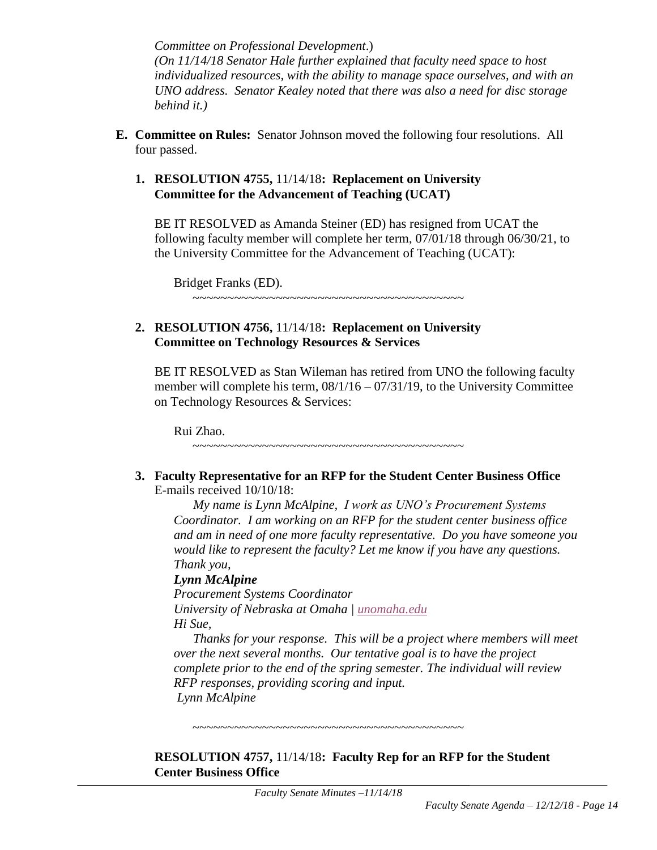*Committee on Professional Development*.) *(On 11/14/18 Senator Hale further explained that faculty need space to host individualized resources, with the ability to manage space ourselves, and with an UNO address. Senator Kealey noted that there was also a need for disc storage behind it.)*

**E. Committee on Rules:** Senator Johnson moved the following four resolutions. All four passed.

#### **1. RESOLUTION 4755,** 11/14/18**: Replacement on University Committee for the Advancement of Teaching (UCAT)**

BE IT RESOLVED as Amanda Steiner (ED) has resigned from UCAT the following faculty member will complete her term, 07/01/18 through 06/30/21, to the University Committee for the Advancement of Teaching (UCAT):

Bridget Franks (ED).

#### ~~~~~~~~~~~~~~~~~~~~~~~~~~~~~~~~~~~~~~~

#### **2. RESOLUTION 4756,** 11/14/18**: Replacement on University Committee on Technology Resources & Services**

BE IT RESOLVED as Stan Wileman has retired from UNO the following faculty member will complete his term,  $08/1/16 - 07/31/19$ , to the University Committee on Technology Resources & Services:

Rui Zhao.

**3. Faculty Representative for an RFP for the Student Center Business Office** E-mails received 10/10/18:

~~~~~~~~~~~~~~~~~~~~~~~~~~~~~~~~~~~~~~~

*My name is Lynn McAlpine, I work as UNO's Procurement Systems Coordinator. I am working on an RFP for the student center business office and am in need of one more faculty representative. Do you have someone you would like to represent the faculty? Let me know if you have any questions. Thank you,*

# *Lynn McAlpine*

*Procurement Systems Coordinator University of Nebraska at Omaha | [unomaha.edu](http://unomaha.edu/) Hi Sue,*

*Thanks for your response. This will be a project where members will meet over the next several months. Our tentative goal is to have the project complete prior to the end of the spring semester. The individual will review RFP responses, providing scoring and input. Lynn McAlpine*

**RESOLUTION 4757,** 11/14/18**: Faculty Rep for an RFP for the Student Center Business Office**

~~~~~~~~~~~~~~~~~~~~~~~~~~~~~~~~~~~~~~~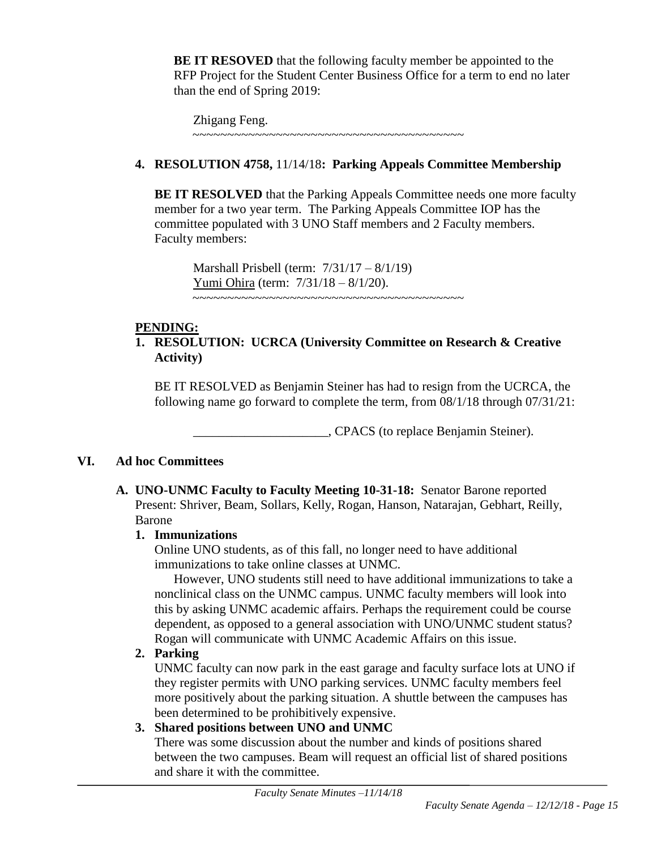**BE IT RESOVED** that the following faculty member be appointed to the RFP Project for the Student Center Business Office for a term to end no later than the end of Spring 2019:

Zhigang Feng. ~~~~~~~~~~~~~~~~~~~~~~~~~~~~~~~~~~~~~~~

# **4. RESOLUTION 4758,** 11/14/18**: Parking Appeals Committee Membership**

**BE IT RESOLVED** that the Parking Appeals Committee needs one more faculty member for a two year term. The Parking Appeals Committee IOP has the committee populated with 3 UNO Staff members and 2 Faculty members. Faculty members:

Marshall Prisbell (term: 7/31/17 – 8/1/19) Yumi Ohira (term: 7/31/18 – 8/1/20). ~~~~~~~~~~~~~~~~~~~~~~~~~~~~~~~~~~~~~~~

# **PENDING:**

# **1. RESOLUTION: UCRCA (University Committee on Research & Creative Activity)**

BE IT RESOLVED as Benjamin Steiner has had to resign from the UCRCA, the following name go forward to complete the term, from 08/1/18 through 07/31/21:

\_\_\_\_\_\_\_\_\_\_\_\_\_\_\_\_\_\_\_\_\_, CPACS (to replace Benjamin Steiner).

# **VI. Ad hoc Committees**

**A. UNO-UNMC Faculty to Faculty Meeting 10-31-18:** Senator Barone reported Present: Shriver, Beam, Sollars, Kelly, Rogan, Hanson, Natarajan, Gebhart, Reilly, Barone

# **1. Immunizations**

Online UNO students, as of this fall, no longer need to have additional immunizations to take online classes at UNMC.

However, UNO students still need to have additional immunizations to take a nonclinical class on the UNMC campus. UNMC faculty members will look into this by asking UNMC academic affairs. Perhaps the requirement could be course dependent, as opposed to a general association with UNO/UNMC student status? Rogan will communicate with UNMC Academic Affairs on this issue.

# **2. Parking**

UNMC faculty can now park in the east garage and faculty surface lots at UNO if they register permits with UNO parking services. UNMC faculty members feel more positively about the parking situation. A shuttle between the campuses has been determined to be prohibitively expensive.

# **3. Shared positions between UNO and UNMC**

There was some discussion about the number and kinds of positions shared between the two campuses. Beam will request an official list of shared positions and share it with the committee.